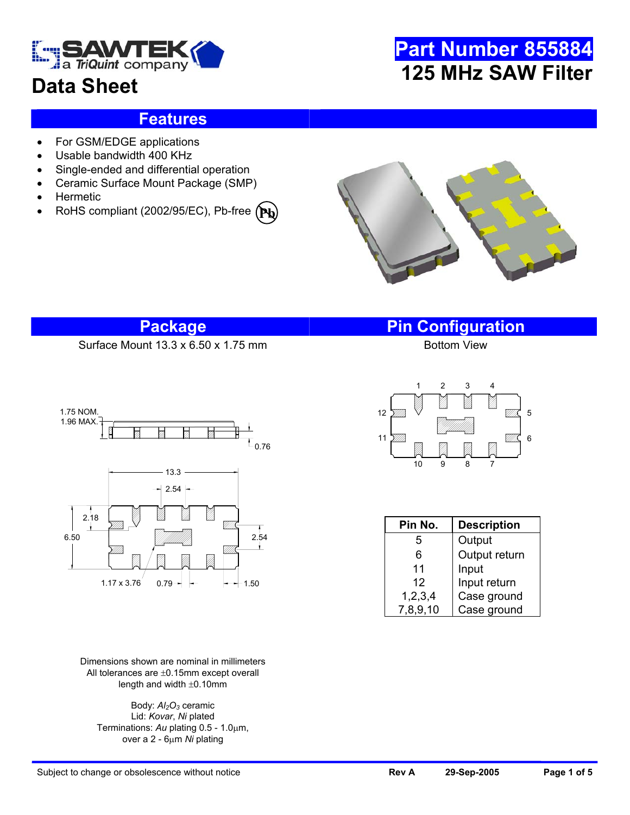

## **Data Sheet**

## **Part Number 855884 125 MHz SAW Filter**

### **Features**

- For GSM/EDGE applications
- Usable bandwidth 400 KHz
- Single-ended and differential operation
- Ceramic Surface Mount Package (SMP)
- Hermetic
- RoHS compliant (2002/95/EC), Pb-free **(Pb**



Surface Mount  $13.3 \times 6.50 \times 1.75$  mm



Dimensions shown are nominal in millimeters All tolerances are ±0.15mm except overall length and width ±0.10mm

Body:  $Al<sub>2</sub>O<sub>3</sub>$  ceramic Lid: *Kovar*, *Ni* plated Terminations: *Au* plating 0.5 - 1.0µm, over a 2 - 6µm *Ni* plating

**Package Pin Configuration**



| Pin No.    | <b>Description</b> |  |  |  |  |
|------------|--------------------|--|--|--|--|
| 5          | Output             |  |  |  |  |
| 6          | Output return      |  |  |  |  |
| 11         | Input              |  |  |  |  |
| 12         | Input return       |  |  |  |  |
| 1, 2, 3, 4 | Case ground        |  |  |  |  |
| 7,8,9,10   | Case ground        |  |  |  |  |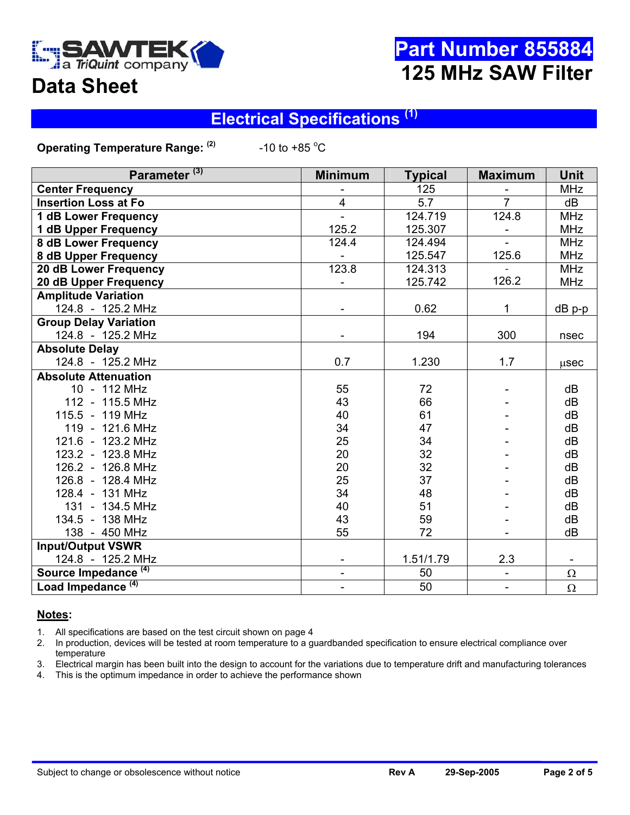

## **Data Sheet**

## **Electrical Specifications (1)**

**Operating Temperature Range: (2)** 

-10 to +85  $^{\circ}$ C

| Parameter <sup>(3)</sup>        | <b>Minimum</b>           | <b>Typical</b>  | <b>Maximum</b>               | Unit       |
|---------------------------------|--------------------------|-----------------|------------------------------|------------|
| <b>Center Frequency</b>         |                          | 125             |                              | <b>MHz</b> |
| <b>Insertion Loss at Fo</b>     | $\overline{4}$           | 5.7             | $\overline{7}$               | dB         |
| 1 dB Lower Frequency            |                          | 124.719         | 124.8                        | <b>MHz</b> |
| <b>1 dB Upper Frequency</b>     | 125.2                    | 125.307         |                              | <b>MHz</b> |
| <b>8 dB Lower Frequency</b>     | 124.4                    | 124.494         |                              | <b>MHz</b> |
| 8 dB Upper Frequency            |                          | 125.547         | 125.6                        | <b>MHz</b> |
| 20 dB Lower Frequency           | 123.8                    | 124.313         |                              | <b>MHz</b> |
| 20 dB Upper Frequency           |                          | 125.742         | 126.2                        | <b>MHz</b> |
| <b>Amplitude Variation</b>      |                          |                 |                              |            |
| 124.8 - 125.2 MHz               |                          | 0.62            | $\mathbf{1}$                 | dB p-p     |
| <b>Group Delay Variation</b>    |                          |                 |                              |            |
| 124.8 - 125.2 MHz               |                          | 194             | 300                          | nsec       |
| <b>Absolute Delay</b>           |                          |                 |                              |            |
| 124.8 - 125.2 MHz               | 0.7                      | 1.230           | 1.7                          | usec       |
| <b>Absolute Attenuation</b>     |                          |                 |                              |            |
| 10 - 112 MHz                    | 55                       | 72              |                              | dB         |
| 112 - 115.5 MHz                 | 43                       | 66              |                              | dB         |
| 115.5 - 119 MHz                 | 40                       | 61              |                              | dB         |
| 119 - 121.6 MHz                 | 34                       | 47              |                              | dB         |
| 121.6 - 123.2 MHz               | 25                       | 34              |                              | dB         |
| 123.2 - 123.8 MHz               | 20                       | 32              |                              | dB         |
| 126.2 - 126.8 MHz               | 20                       | 32              |                              | dB         |
| 126.8 - 128.4 MHz               | 25                       | 37              |                              | dB         |
| 128.4 - 131 MHz                 | 34                       | 48              |                              | dB         |
| 131 - 134.5 MHz                 | 40                       | 51              |                              | dB         |
| 134.5 - 138 MHz                 | 43                       | 59              |                              | dB         |
| 138 - 450 MHz                   | 55                       | 72              |                              | dB         |
| <b>Input/Output VSWR</b>        |                          |                 |                              |            |
| 124.8 - 125.2 MHz               |                          | 1.51/1.79       | 2.3                          |            |
| Source Impedance <sup>(4)</sup> | $\blacksquare$           | 50              | ÷,                           | $\Omega$   |
| Load Impedance <sup>(4)</sup>   | $\overline{\phantom{0}}$ | $\overline{50}$ | $\qquad \qquad \blacksquare$ | $\Omega$   |

#### **Notes:**

1. All specifications are based on the test circuit shown on page 4

2. In production, devices will be tested at room temperature to a guardbanded specification to ensure electrical compliance over temperature

3. Electrical margin has been built into the design to account for the variations due to temperature drift and manufacturing tolerances

4. This is the optimum impedance in order to achieve the performance shown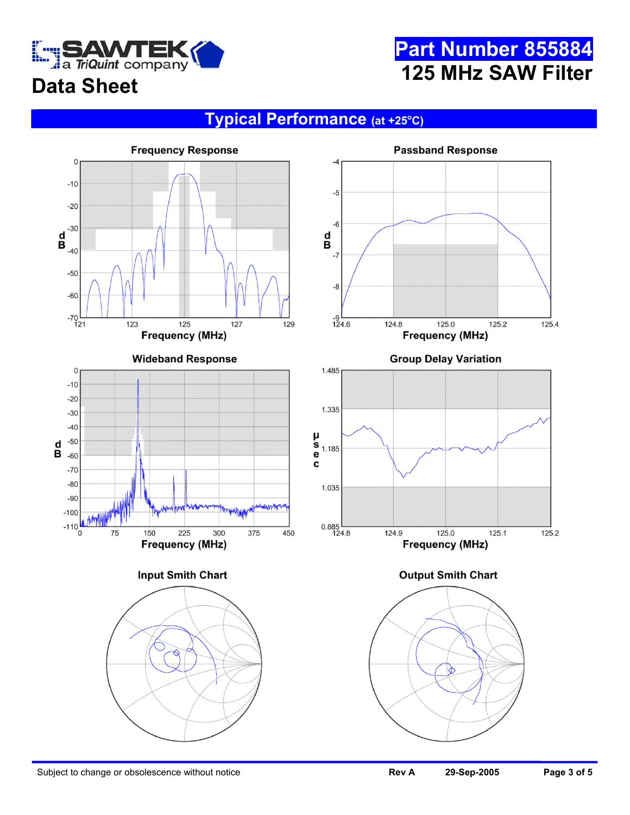

### **Typical Performance (at +25o C)**



Subject to change or obsolescence without notice **Review Subject to change 3 of 5 Page 3 of 5 Page 3 of 5**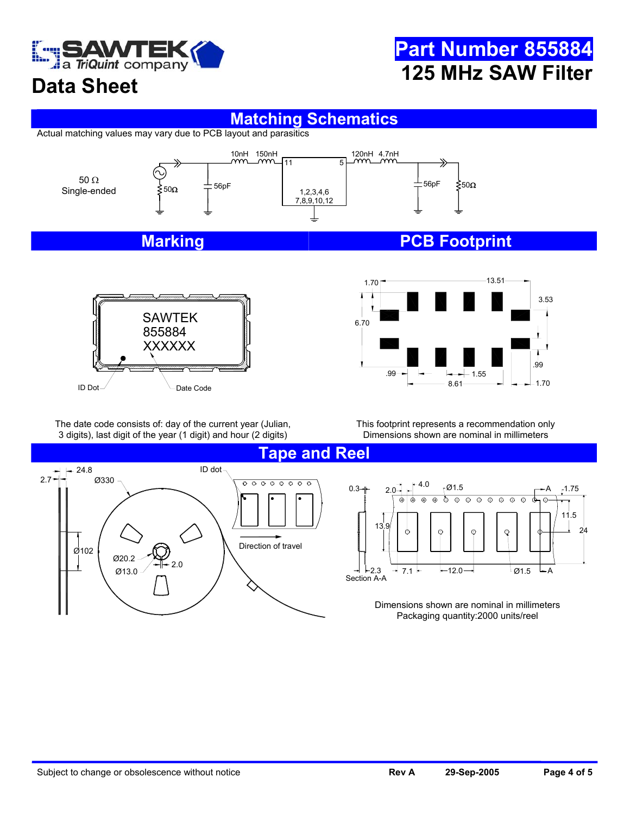

## **Data Sheet**

## **Matching Schematics**

Actual matching values may vary due to PCB layout and parasitics



# XXXXXX  $ID Dot\_$   $\qquad$  Date Code SAWTEK 855884



The date code consists of: day of the current year (Julian, 3 digits), last digit of the year (1 digit) and hour (2 digits)

This footprint represents a recommendation only Dimensions shown are nominal in millimeters



 $0.3 + 2.0 + 4.0$   $0.3 + 4.0$ A 1.75 φ φ  $\odot$  $\odot$ ক্ত  $\overline{\odot}$  $\overline{\odot}$  $\overline{\circ}$  $\overline{\odot}$  $\overline{\Theta}$  $\overline{\circ}$  $\oplus$  $\oplus$ 11.5



Dimensions shown are nominal in millimeters Packaging quantity:2000 units/reel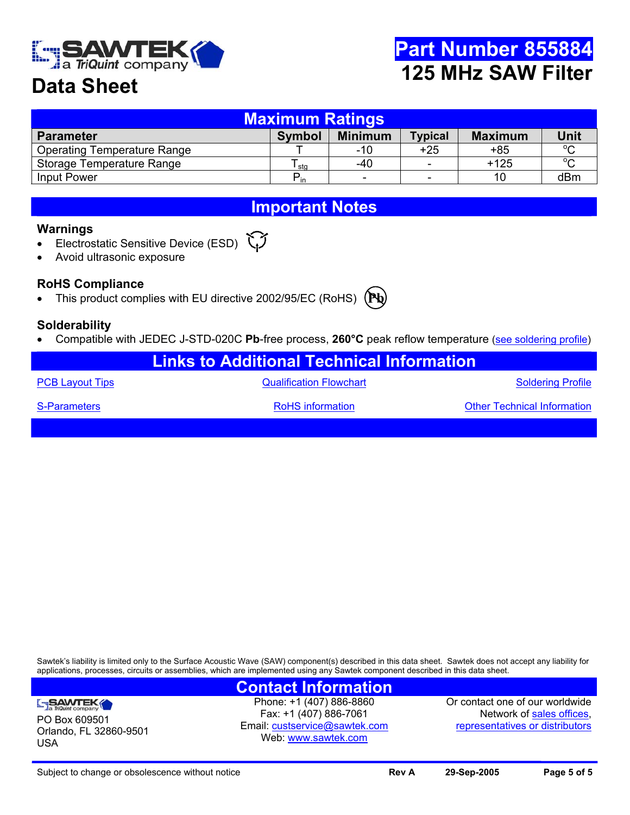

## **Data Sheet**

| <b>Maximum Ratings</b>             |                  |                          |                          |                |             |  |  |  |
|------------------------------------|------------------|--------------------------|--------------------------|----------------|-------------|--|--|--|
| <b>Parameter</b>                   | <b>Symbol</b>    | <b>Minimum</b>           | <b>Typical</b>           | <b>Maximum</b> | <b>Unit</b> |  |  |  |
| <b>Operating Temperature Range</b> |                  | -10                      | $+25$                    | +85            | $\circ$     |  |  |  |
| Storage Temperature Range          | <sup>l</sup> sta | -40                      | $\overline{\phantom{0}}$ | $+125$         | $\sim$      |  |  |  |
| Input Power                        | $P_{in}$         | $\overline{\phantom{a}}$ | $\overline{\phantom{0}}$ | 10             | dBm         |  |  |  |

### **Important Notes**

#### **Warnings**

- Electrostatic Sensitive Device (ESD)
- Avoid ultrasonic exposure

### **RoHS Compliance**

• This product complies with EU directive 2002/95/EC (RoHS) (Pb

#### **Solderability**

- Compatible with JEDEC J-STD-020C **Pb**-free process, **260°C** peak reflow temperature ([see soldering profile](http://www.triquint.com/company/divisions/sawtek/solder.cfm))
	- **Links to Additional Technical Information**

[PCB Layout Tips](http://www.triquint.com/company/divisions/sawtek/pcbtips.cfm) **CONFINGT CONSTRUSTED ASSESS** Cualification Flowchart CONSTRUSS CONSTRUSS [Soldering Profile](http://www.triquint.com/company/divisions/sawtek/solder.cfm)

[S-Parameters](mailto:custservice@sawtek.com?subject=S-parameter request) **RoHS** information **ROHS** information **[Other Technical Information](http://www.triquint.com/company/divisions/sawtek/saw_tech_support.cfm)** 

Sawtek's liability is limited only to the Surface Acoustic Wave (SAW) component(s) described in this data sheet. Sawtek does not accept any liability for applications, processes, circuits or assemblies, which are implemented using any Sawtek component described in this data sheet.

### **SAWTEK**

PO Box 609501 Orlando, FL 32860-9501 USA

**Contact Information**  Phone: +1 (407) 886-8860 Fax: +1 (407) 886-7061 Email: [custservice@sawtek.com](mailto:custservice@sawtek.com) Web: [www.sawtek.com](http://www.triquint.com/company/divisions/sawtek/)

Or contact one of our worldwide Network of [sales offices](http://www.triquint.com/sales/), [representatives or distributors](http://www.triquint.com/sales/)